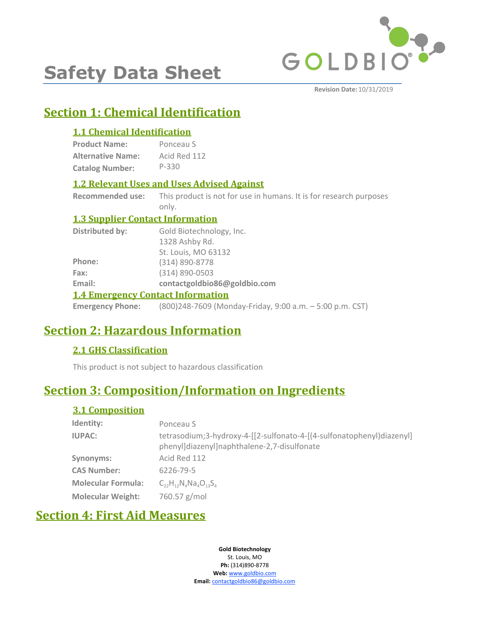

# **Safety Data Sheet**

**Revision Date:** 10/31/2019

# **Section 1: Chemical Identification**

# **1.1 Chemical Identification**

| <b>Product Name:</b>     | Ponceau S    |
|--------------------------|--------------|
| <b>Alternative Name:</b> | Acid Red 112 |
| <b>Catalog Number:</b>   | P-330        |

# **1.2 Relevant Uses and Uses Advised Against**

**Recommended use:** This product is not for use in humans. It is for research purposes only.

## **1.3 Supplier Contact Information**

| Distributed by: | Gold Biotechnology, Inc.                                                         |
|-----------------|----------------------------------------------------------------------------------|
|                 | 1328 Ashby Rd.                                                                   |
|                 | St. Louis, MO 63132                                                              |
| Phone:          | (314) 890-8778                                                                   |
| Fax:            | $(314) 890 - 0503$                                                               |
| Email:          | contactgoldbio86@goldbio.com                                                     |
|                 | <b>1.4 Emergency Contact Information</b>                                         |
|                 | <b>Emergency Phone:</b> (800)248-7609 (Monday-Friday, 9:00 a.m. - 5:00 p.m. CST) |

# **Section 2: Hazardous Information**

# **2.1 GHS Classification**

This product is not subject to hazardous classification

# **Section 3: Composition/Information on Ingredients**

# **3.1 Composition**

| Identity:                 | Ponceau S                                                                                                            |
|---------------------------|----------------------------------------------------------------------------------------------------------------------|
| <b>IUPAC:</b>             | tetrasodium;3-hydroxy-4-[[2-sulfonato-4-[(4-sulfonatophenyl)diazenyl]<br>phenyl]diazenyl]naphthalene-2,7-disulfonate |
| Synonyms:                 | Acid Red 112                                                                                                         |
| <b>CAS Number:</b>        | 6226-79-5                                                                                                            |
| <b>Molecular Formula:</b> | $C_{22}H_{12}N_ANa_4O_{12}S_A$                                                                                       |
| <b>Molecular Weight:</b>  | 760.57 g/mol                                                                                                         |

# **Section 4: First Aid Measures**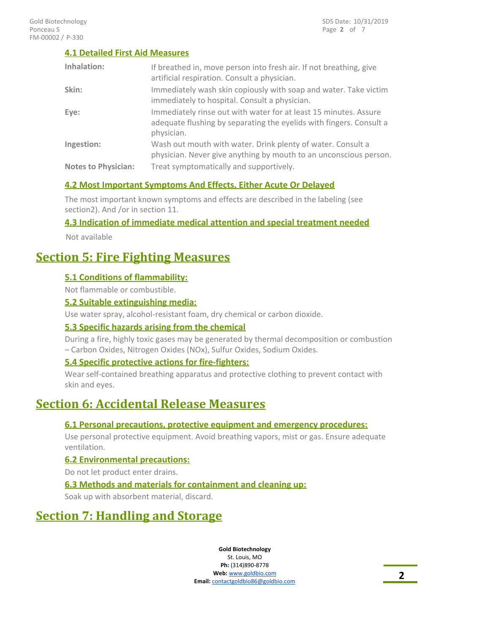### **4.1 Detailed First Aid Measures**

| Inhalation:                | If breathed in, move person into fresh air. If not breathing, give<br>artificial respiration. Consult a physician.                                    |
|----------------------------|-------------------------------------------------------------------------------------------------------------------------------------------------------|
| Skin:                      | Immediately wash skin copiously with soap and water. Take victim<br>immediately to hospital. Consult a physician.                                     |
| Eye:                       | Immediately rinse out with water for at least 15 minutes. Assure<br>adequate flushing by separating the eyelids with fingers. Consult a<br>physician. |
| Ingestion:                 | Wash out mouth with water. Drink plenty of water. Consult a<br>physician. Never give anything by mouth to an unconscious person.                      |
| <b>Notes to Physician:</b> | Treat symptomatically and supportively.                                                                                                               |

## **4.2 Most Important Symptoms And Effects, Either Acute Or Delayed**

The most important known symptoms and effects are described in the labeling (see section2). And /or in section 11.

### **4.3 Indication of immediate medical attention and special treatment needed**

Not available

# **Section 5: Fire Fighting Measures**

### **5.1 Conditions of flammability:**

Not flammable or combustible.

### **5.2 Suitable extinguishing media:**

Use water spray, alcohol-resistant foam, dry chemical or carbon dioxide.

### **5.3 Specific hazards arising from the chemical**

During a fire, highly toxic gases may be generated by thermal decomposition or combustion – Carbon Oxides, Nitrogen Oxides (NOx), Sulfur Oxides, Sodium Oxides.

### **5.4 Specific protective actions for fire-fighters:**

Wear self-contained breathing apparatus and protective clothing to prevent contact with skin and eyes.

# **Section 6: Accidental Release Measures**

### **6.1 Personal precautions, protective equipment and emergency procedures:**

Use personal protective equipment. Avoid breathing vapors, mist or gas. Ensure adequate ventilation.

## **6.2 Environmental precautions:**

Do not let product enter drains.

#### **6.3 Methods and materials for containment and cleaning up:**

Soak up with absorbent material, discard.

# **Section 7: Handling and Storage**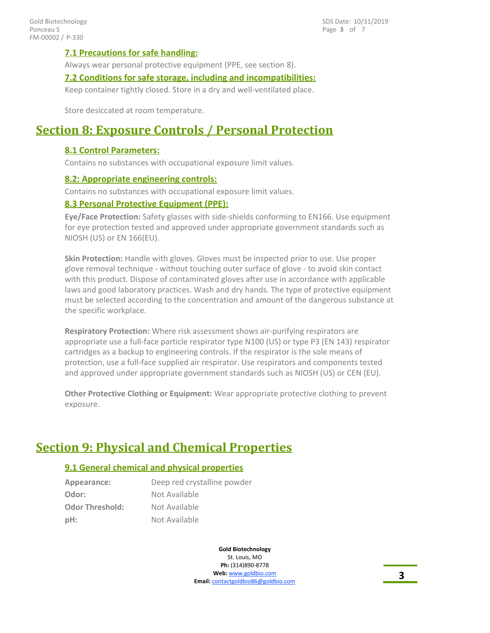Page **3** of 7 SDS Date: 10/31/2019

#### **7.1 Precautions for safe handling:**

Always wear personal protective equipment (PPE, see section 8).

#### **7.2 Conditions for safe storage, including and incompatibilities:**

Keep container tightly closed. Store in a dry and well-ventilated place.

Store desiccated at room temperature.

# **Section 8: Exposure Controls / Personal Protection**

#### **8.1 Control Parameters:**

Contains no substances with occupational exposure limit values.

#### **8.2: Appropriate engineering controls:**

Contains no substances with occupational exposure limit values.

#### **8.3 Personal Protective Equipment (PPE):**

**Eye/Face Protection:** Safety glasses with side-shields conforming to EN166. Use equipment for eye protection tested and approved under appropriate government standards such as NIOSH (US) or EN 166(EU).

**Skin Protection:** Handle with gloves. Gloves must be inspected prior to use. Use proper glove removal technique - without touching outer surface of glove - to avoid skin contact with this product. Dispose of contaminated gloves after use in accordance with applicable laws and good laboratory practices. Wash and dry hands. The type of protective equipment must be selected according to the concentration and amount of the dangerous substance at the specific workplace.

**Respiratory Protection:** Where risk assessment shows air-purifying respirators are appropriate use a full-face particle respirator type N100 (US) or type P3 (EN 143) respirator cartridges as a backup to engineering controls. If the respirator is the sole means of protection, use a full-face supplied air respirator. Use respirators and components tested and approved under appropriate government standards such as NIOSH (US) or CEN (EU).

**Other Protective Clothing or Equipment:** Wear appropriate protective clothing to prevent exposure.

# **Section 9: Physical and Chemical Properties**

#### **9.1 General chemical and physical properties**

| Appearance:            | Deep red crystalline powder |
|------------------------|-----------------------------|
| Odor:                  | Not Available               |
| <b>Odor Threshold:</b> | Not Available               |
| pH:                    | Not Available               |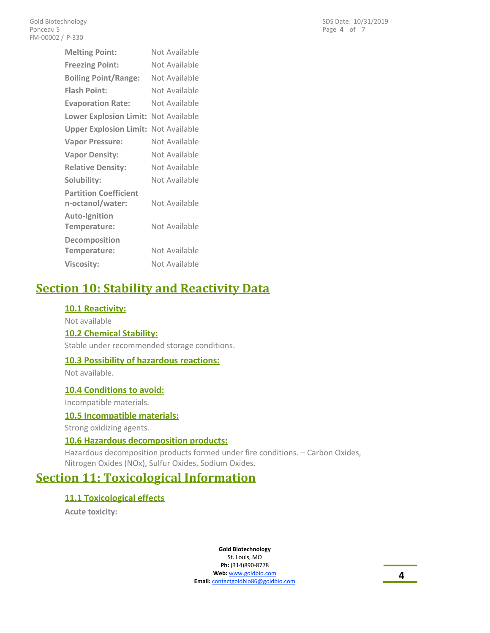| <b>Melting Point:</b>                            | Not Available |
|--------------------------------------------------|---------------|
| <b>Freezing Point:</b>                           | Not Available |
| <b>Boiling Point/Range:</b>                      | Not Available |
| <b>Flash Point:</b>                              | Not Available |
| <b>Evaporation Rate:</b>                         | Not Available |
| <b>Lower Explosion Limit:</b>                    | Not Available |
| <b>Upper Explosion Limit:</b>                    | Not Available |
| <b>Vapor Pressure:</b>                           | Not Available |
| <b>Vapor Density:</b>                            | Not Available |
| <b>Relative Density:</b>                         | Not Available |
| Solubility:                                      | Not Available |
| <b>Partition Coefficient</b><br>n-octanol/water: | Not Available |
| <b>Auto-Ignition</b><br>Temperature:             | Not Available |
| Decomposition<br>Temperature:                    | Not Available |
| <b>Viscosity:</b>                                | Not Available |

# **Section 10: Stability and Reactivity Data**

### **10.1 Reactivity:**

Not available

#### **10.2 Chemical Stability:**

Stable under recommended storage conditions.

#### **10.3 Possibility of hazardous reactions:**

Not available.

#### **10.4 Conditions to avoid:**

Incompatible materials.

#### **10.5 Incompatible materials:**

Strong oxidizing agents.

### **10.6 Hazardous decomposition products:**

Hazardous decomposition products formed under fire conditions. – Carbon Oxides, Nitrogen Oxides (NOx), Sulfur Oxides, Sodium Oxides.

# **Section 11: Toxicological Information**

### **11.1 Toxicological effects**

**Acute toxicity:**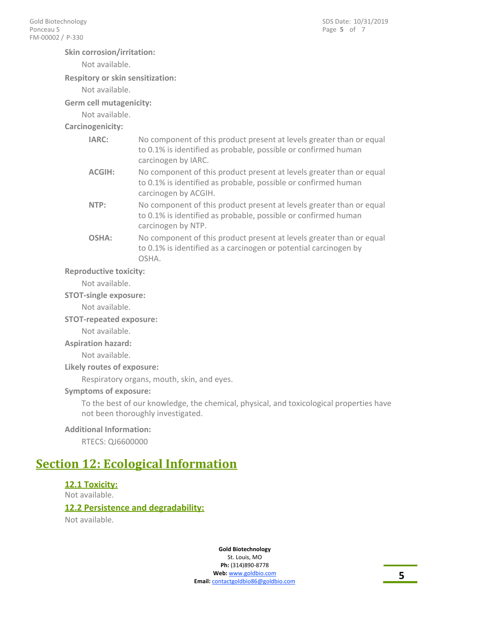#### **Skin corrosion/irritation:**

Not available.

#### **Respitory or skin sensitization:**

Not available.

#### **Germ cell mutagenicity:**

Not available.

#### **Carcinogenicity:**

| IARC:  | No component of this product present at levels greater than or equal<br>to 0.1% is identified as probable, possible or confirmed human<br>carcinogen by IARC.  |
|--------|----------------------------------------------------------------------------------------------------------------------------------------------------------------|
| ACGIH: | No component of this product present at levels greater than or equal<br>to 0.1% is identified as probable, possible or confirmed human<br>carcinogen by ACGIH. |

| NTP: | No component of this product present at levels greater than or equal |
|------|----------------------------------------------------------------------|
|      | to 0.1% is identified as probable, possible or confirmed human       |
|      | carcinogen by NTP.                                                   |

No component of this product present at levels greater than or equal to 0.1% is identified as a carcinogen or potential carcinogen by OSHA. **OSHA:**

#### **Reproductive toxicity:**

Not available.

#### **STOT-single exposure:**

Not available.

**STOT-repeated exposure:**

Not available.

#### **Aspiration hazard:**

Not available.

**Likely routes of exposure:**

Respiratory organs, mouth, skin, and eyes.

#### **Symptoms of exposure:**

To the best of our knowledge, the chemical, physical, and toxicological properties have not been thoroughly investigated.

#### **Additional Information:**

RTECS: QJ6600000

# **Section 12: Ecological Information**

#### **12.1 Toxicity:**

Not available.

#### **12.2 Persistence and degradability:**

Not available.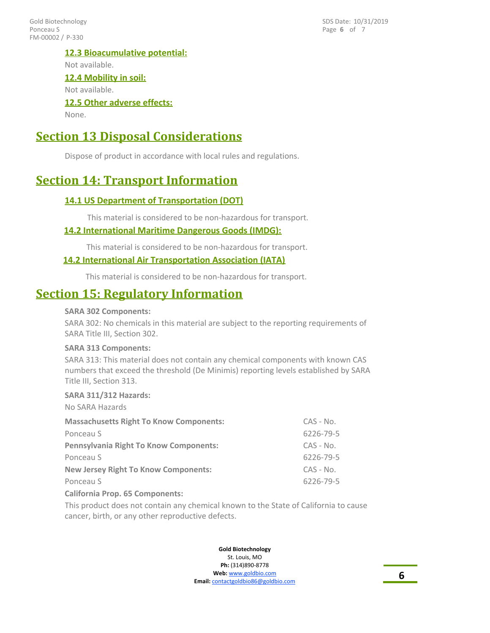FM-00002 / P-330 Gold Biotechnology Ponceau S

Page **6** of 7 SDS Date: 10/31/2019

#### **12.3 Bioacumulative potential:**

Not available.

## **12.4 Mobility in soil:**

Not available.

# **12.5 Other adverse effects:**

None.

# **Section 13 Disposal Considerations**

Dispose of product in accordance with local rules and regulations.

# **Section 14: Transport Information**

## **14.1 US Department of Transportation (DOT)**

This material is considered to be non-hazardous for transport.

## **14.2 International Maritime Dangerous Goods (IMDG):**

This material is considered to be non-hazardous for transport.

### **14.2 International Air Transportation Association (IATA)**

This material is considered to be non-hazardous for transport.

# **Section 15: Regulatory Information**

#### **SARA 302 Components:**

SARA 302: No chemicals in this material are subject to the reporting requirements of SARA Title III, Section 302.

#### **SARA 313 Components:**

SARA 313: This material does not contain any chemical components with known CAS numbers that exceed the threshold (De Minimis) reporting levels established by SARA Title III, Section 313.

#### **SARA 311/312 Hazards:**

No SARA Hazards

| <b>Massachusetts Right To Know Components:</b> | $CAS - No.$ |
|------------------------------------------------|-------------|
| Ponceau S                                      | 6226-79-5   |
| <b>Pennsylvania Right To Know Components:</b>  | $CAS - No.$ |
| Ponceau S                                      | 6226-79-5   |
| <b>New Jersey Right To Know Components:</b>    | $CAS - No.$ |
| Ponceau S                                      | 6226-79-5   |
| <b>California Prop. 65 Components:</b>         |             |

This product does not contain any chemical known to the State of California to cause cancer, birth, or any other reproductive defects.